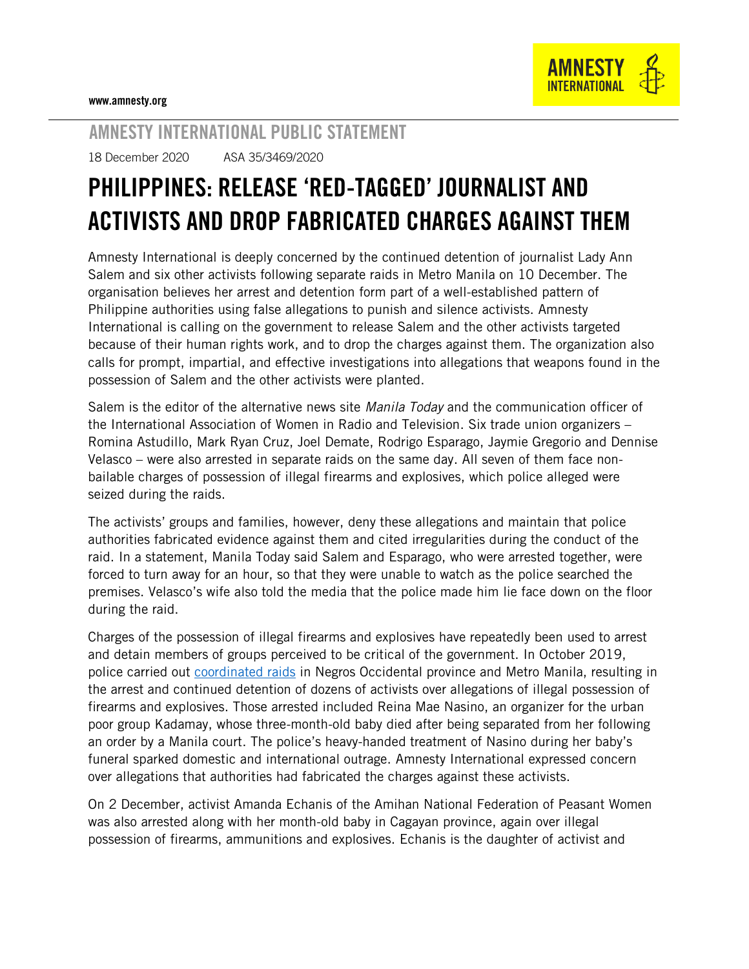

## AMNESTY INTERNATIONAL PUBLIC STATEMENT

18 December 2020 ASA 35/3469/2020

## PHILIPPINES: RELEASE 'RED-TAGGED' JOURNALIST AND ACTIVISTS AND DROP FABRICATED CHARGES AGAINST THEM

Amnesty International is deeply concerned by the continued detention of journalist Lady Ann Salem and six other activists following separate raids in Metro Manila on 10 December. The organisation believes her arrest and detention form part of a well-established pattern of Philippine authorities using false allegations to punish and silence activists. Amnesty International is calling on the government to release Salem and the other activists targeted because of their human rights work, and to drop the charges against them. The organization also calls for prompt, impartial, and effective investigations into allegations that weapons found in the possession of Salem and the other activists were planted.

Salem is the editor of the alternative news site *Manila Today* and the communication officer of the International Association of Women in Radio and Television. Six trade union organizers – Romina Astudillo, Mark Ryan Cruz, Joel Demate, Rodrigo Esparago, Jaymie Gregorio and Dennise Velasco – were also arrested in separate raids on the same day. All seven of them face nonbailable charges of possession of illegal firearms and explosives, which police alleged were seized during the raids.

The activists' groups and families, however, deny these allegations and maintain that police authorities fabricated evidence against them and cited irregularities during the conduct of the raid. In a statement, Manila Today said Salem and Esparago, who were arrested together, were forced to turn away for an hour, so that they were unable to watch as the police searched the premises. Velasco's wife also told the media that the police made him lie face down on the floor during the raid.

Charges of the possession of illegal firearms and explosives have repeatedly been used to arrest and detain members of groups perceived to be critical of the government. In October 2019, police carried out [coordinated raids](https://www.amnesty.org/en/documents/asa35/1342/2019/en/) in Negros Occidental province and Metro Manila, resulting in the arrest and continued detention of dozens of activists over allegations of illegal possession of firearms and explosives. Those arrested included Reina Mae Nasino, an organizer for the urban poor group Kadamay, whose three-month-old baby died after being separated from her following an order by a Manila court. The police's heavy-handed treatment of Nasino during her baby's funeral sparked domestic and international outrage. Amnesty International expressed concern over allegations that authorities had fabricated the charges against these activists.

On 2 December, activist Amanda Echanis of the Amihan National Federation of Peasant Women was also arrested along with her month-old baby in Cagayan province, again over illegal possession of firearms, ammunitions and explosives. Echanis is the daughter of activist and